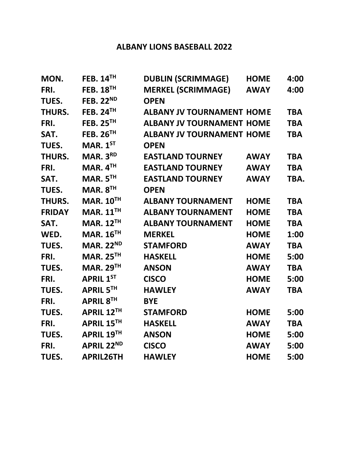## **ALBANY LIONS BASEBALL 2022**

| MON.          | FEB. $14TH$          | <b>DUBLIN (SCRIMMAGE)</b>        | <b>HOME</b> | 4:00       |
|---------------|----------------------|----------------------------------|-------------|------------|
| FRI.          | <b>FEB. 18TH</b>     | <b>MERKEL (SCRIMMAGE)</b>        | <b>AWAY</b> | 4:00       |
| TUES.         | <b>FEB. 22ND</b>     | <b>OPEN</b>                      |             |            |
| THURS.        | <b>FEB. 24TH</b>     | <b>ALBANY JV TOURNAMENT HOME</b> |             | <b>TBA</b> |
| FRI.          | <b>FEB. 25TH</b>     | <b>ALBANY JV TOURNAMENT HOME</b> |             | <b>TBA</b> |
| SAT.          | <b>FEB. 26TH</b>     | <b>ALBANY JV TOURNAMENT HOME</b> |             | <b>TBA</b> |
| TUES.         | MAR. $1ST$           | <b>OPEN</b>                      |             |            |
| THURS.        | MAR. 3RD             | <b>EASTLAND TOURNEY</b>          | <b>AWAY</b> | <b>TBA</b> |
| FRI.          | MAR. $4TH$           | <b>EASTLAND TOURNEY</b>          | <b>AWAY</b> | <b>TBA</b> |
| SAT.          | MAR. 5TH             | <b>EASTLAND TOURNEY</b>          | <b>AWAY</b> | TBA.       |
| TUES.         | MAR. 8 <sup>TH</sup> | <b>OPEN</b>                      |             |            |
| THURS.        | <b>MAR. 10TH</b>     | <b>ALBANY TOURNAMENT</b>         | <b>HOME</b> | <b>TBA</b> |
| <b>FRIDAY</b> | MAR. $11TH$          | <b>ALBANY TOURNAMENT</b>         | <b>HOME</b> | <b>TBA</b> |
| SAT.          | <b>MAR. 12TH</b>     | <b>ALBANY TOURNAMENT</b>         | <b>HOME</b> | <b>TBA</b> |
| WED.          | <b>MAR. 16TH</b>     | <b>MERKEL</b>                    | <b>HOME</b> | 1:00       |
| TUES.         | <b>MAR. 22ND</b>     | <b>STAMFORD</b>                  | <b>AWAY</b> | <b>TBA</b> |
| FRI.          | <b>MAR. 25TH</b>     | <b>HASKELL</b>                   | <b>HOME</b> | 5:00       |
| TUES.         | <b>MAR. 29TH</b>     | <b>ANSON</b>                     | <b>AWAY</b> | <b>TBA</b> |
| FRI.          | <b>APRIL 1ST</b>     | <b>CISCO</b>                     | <b>HOME</b> | 5:00       |
| TUES.         | <b>APRIL 5TH</b>     | <b>HAWLEY</b>                    | <b>AWAY</b> | <b>TBA</b> |
| FRI.          | APRIL 8TH            | <b>BYE</b>                       |             |            |
| TUES.         | APRIL 12TH           | <b>STAMFORD</b>                  | <b>HOME</b> | 5:00       |
| FRI.          | APRIL 15TH           | <b>HASKELL</b>                   | <b>AWAY</b> | <b>TBA</b> |
| TUES.         | <b>APRIL 19TH</b>    | <b>ANSON</b>                     | <b>HOME</b> | 5:00       |
| FRI.          | <b>APRIL 22ND</b>    | <b>CISCO</b>                     | <b>AWAY</b> | 5:00       |
| TUES.         | <b>APRIL26TH</b>     | <b>HAWLEY</b>                    | <b>HOME</b> | 5:00       |